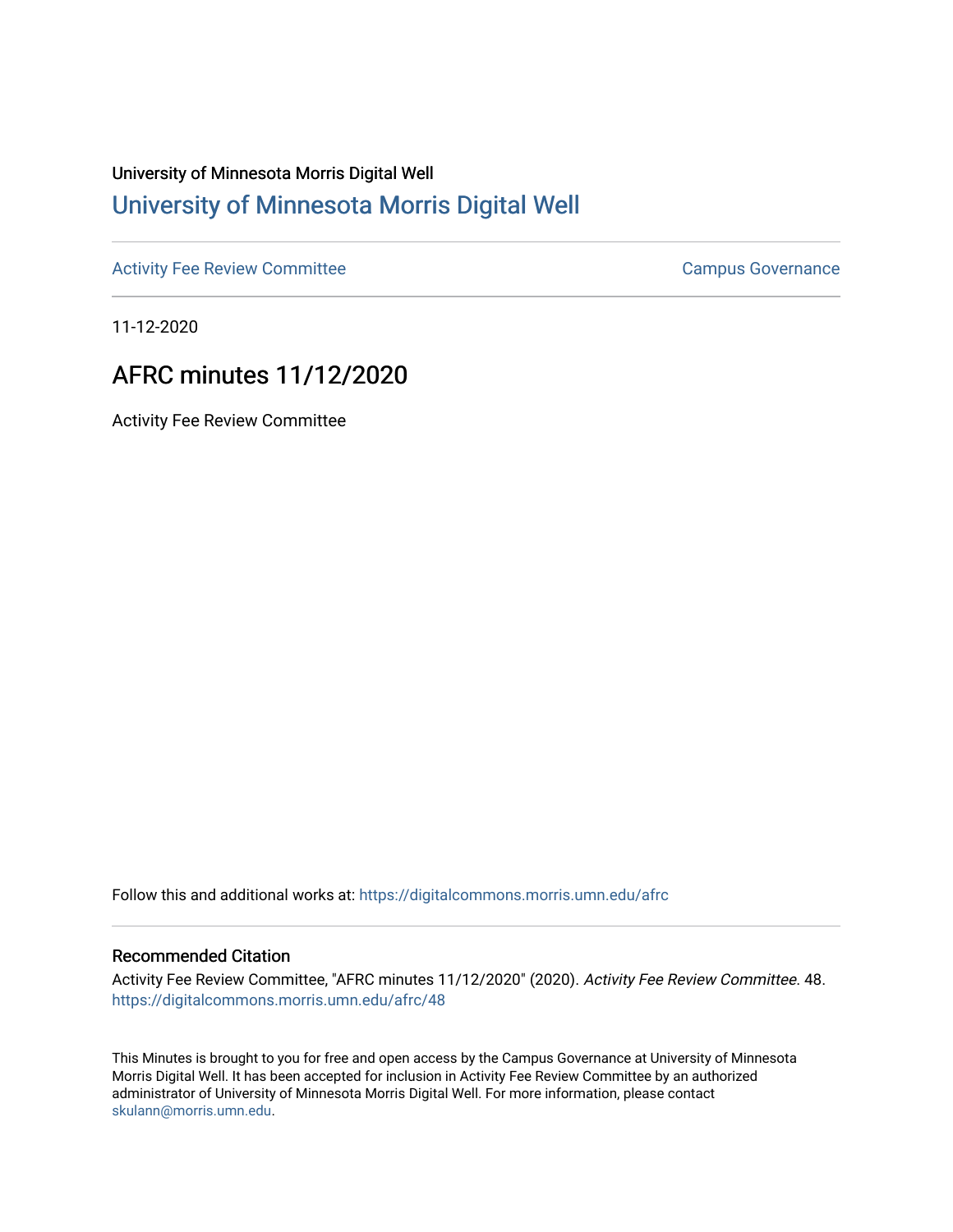## University of Minnesota Morris Digital Well [University of Minnesota Morris Digital Well](https://digitalcommons.morris.umn.edu/)

[Activity Fee Review Committee](https://digitalcommons.morris.umn.edu/afrc) **Campus Governance** Campus Governance

11-12-2020

## AFRC minutes 11/12/2020

Activity Fee Review Committee

Follow this and additional works at: [https://digitalcommons.morris.umn.edu/afrc](https://digitalcommons.morris.umn.edu/afrc?utm_source=digitalcommons.morris.umn.edu%2Fafrc%2F48&utm_medium=PDF&utm_campaign=PDFCoverPages) 

## Recommended Citation

Activity Fee Review Committee, "AFRC minutes 11/12/2020" (2020). Activity Fee Review Committee. 48. [https://digitalcommons.morris.umn.edu/afrc/48](https://digitalcommons.morris.umn.edu/afrc/48?utm_source=digitalcommons.morris.umn.edu%2Fafrc%2F48&utm_medium=PDF&utm_campaign=PDFCoverPages)

This Minutes is brought to you for free and open access by the Campus Governance at University of Minnesota Morris Digital Well. It has been accepted for inclusion in Activity Fee Review Committee by an authorized administrator of University of Minnesota Morris Digital Well. For more information, please contact [skulann@morris.umn.edu.](mailto:skulann@morris.umn.edu)